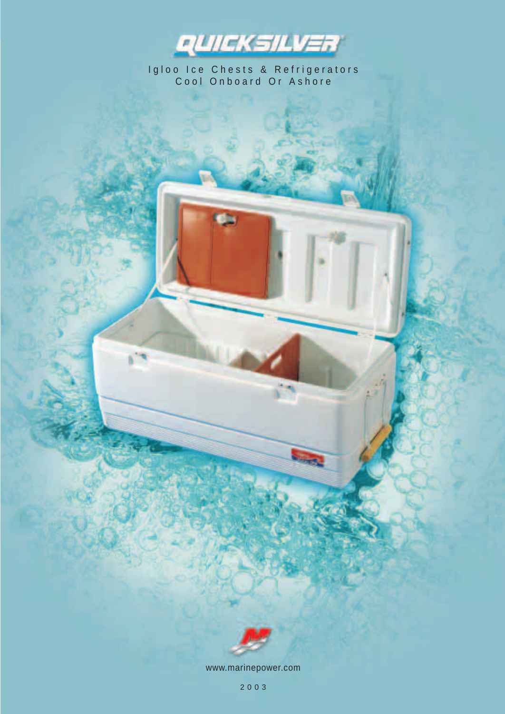

Igloo Ice Chests & Refrigerators<br>Cool Onboard Or Ashore



www.marinepower.com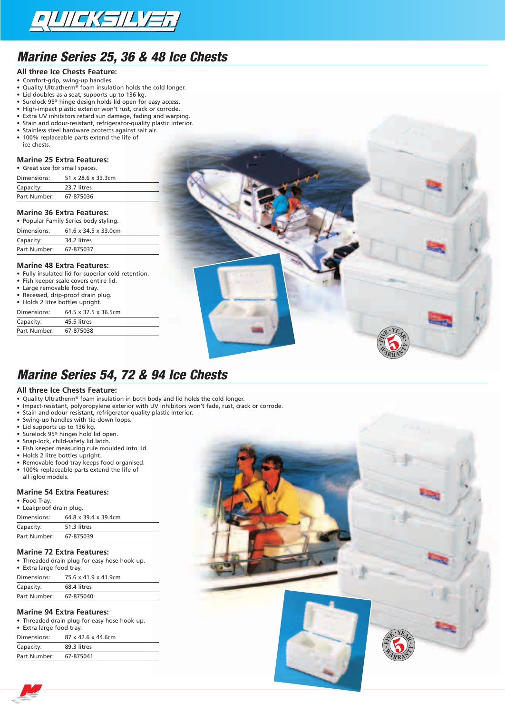

# *Marine Series 25, 36 & 48 Ice Chests*

- **All three Ice Chests Feature:**
- Comfort-grip, swing-up handles.
- Quality Ultratherm® foam insulation holds the cold longer.
- Lid doubles as a seat; supports up to 136 kg.
- Surelock 95® hinge design holds lid open for easy access. • High-impact plastic exterior won't rust, crack or corrode.
- Extra UV inhibitors retard sun damage, fading and warping.
- Stain and odour-resistant, refrigerator-quality plastic interior.
- Stainless steel hardware protects against salt air.
- 100% replaceable parts extend the life of ice chests.

### **Marine 25 Extra Features:**

• Great size for small spaces.

| Dimensions:  | 51 x 28.6 x 33.3cm |  |
|--------------|--------------------|--|
| Capacity:    | 23.7 litres        |  |
| Part Number: | 67-875036          |  |
|              |                    |  |

#### **Marine 36 Extra Features:**

|              | • Popular Family Series body styling. |
|--------------|---------------------------------------|
| Dimensions:  | 61.6 x 34.5 x 33.0cm                  |
| Capacity:    | 34.2 litres                           |
| Part Number: | 67-875037                             |

#### **Marine 48 Extra Features:**

• Fully insulated lid for superior cold retention.<br>• Fish keeper scale covers entire lid

- Fish keeper scale covers entire lid.
- Large removable food tray.
- Recessed, drip-proof drain plug.
- Holds 2 litre bottles upright.

| Dimensions:  | 64.5 x 37.5 x 36.5cm |
|--------------|----------------------|
| Capacity:    | 45.5 litres          |
| Part Number: | 67-875038            |

### *Marine Series 54, 72 & 94 Ice Chests*

#### **All three Ice Chests Feature:**

- Quality Ultratherm® foam insulation in both body and lid holds the cold longer.
- Impact-resistant, polypropylene exterior with UV inhibitors won't fade, rust, crack or corrode.
- Stain and odour-resistant, refrigerator-quality plastic interior.
- Swing-up handles with tie-down loops.
- Lid supports up to 136 kg.
- Surelock 95® hinges hold lid open.
- Snap-lock, child-safety lid latch.
- Fish keeper measuring rule moulded into lid.
- Holds 2 litre bottles upright.
- Removable food tray keeps food organised.
- 100% replaceable parts extend the life of all igloo models.

#### **Marine 54 Extra Features:**

• Food Tray.

| • Leakproof drain plug. |                      |
|-------------------------|----------------------|
| Dimensions:             | 64.8 x 39.4 x 39.4cm |

| Capacity:    | 51.3 litres |  |
|--------------|-------------|--|
| Part Number: | 67-875039   |  |
|              |             |  |

#### **Marine 72 Extra Features:**

• Threaded drain plug for easy hose hook-up. • Extra large food tray.

| Dimensions:  | 75.6 x 41.9 x 41.9cm |
|--------------|----------------------|
| Capacity:    | 68.4 litres          |
| Part Number: | 67-875040            |

#### **Marine 94 Extra Features:**

• Threaded drain plug for easy hose hook-up. • Extra large food tray. Dimensions: 87 x 42.6 x 44.6cm

| Capacity:    | 89.3 litres |  |
|--------------|-------------|--|
| Part Number: | 67-875041   |  |
|              |             |  |



**F<sup>I</sup>V<sup>E</sup> <sup>Y</sup>EA<sup>R</sup>**

**•**

**• •**

 $4R$ **R**  $R$  $R$   $A^*$ 

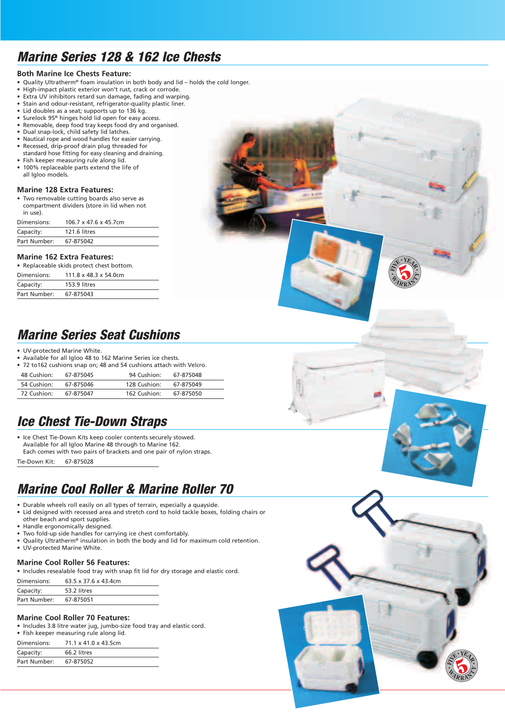# *Marine Series 128 & 162 Ice Chests*

#### **Both Marine Ice Chests Feature:**

- Quality Ultratherm® foam insulation in both body and lid holds the cold longer.
- High-impact plastic exterior won't rust, crack or corrode.
- Extra UV inhibitors retard sun damage, fading and warping.
- Stain and odour-resistant, refrigerator-quality plastic liner. • Lid doubles as a seat; supports up to 136 kg.
- Surelock 95® hinges hold lid open for easy access.
- Removable, deep food tray keeps food dry and organised.
- Dual snap-lock, child safety lid latches.
- Nautical rope and wood handles for easier carrying.
- Recessed, drip-proof drain plug threaded for standard hose fitting for easy cleaning and draining.
- Fish keeper measuring rule along lid. • 100% replaceable parts extend the life of all Igloo models.

### **Marine 128 Extra Features:**

• Two removable cutting boards also serve as compartment dividers (store in lid when not in use).

| Dimensions:  | 106.7 x 47.6 x 45.7cm |
|--------------|-----------------------|
| Capacity:    | 121.6 litres          |
| Part Number: | 67-875042             |

#### **Marine 162 Extra Features:**

|              | • Replaceable skids protect chest bottom. |  |
|--------------|-------------------------------------------|--|
| Dimensions:  | $111.8 \times 48.3 \times 54.0$ cm        |  |
| Capacity:    | 153.9 litres                              |  |
| Part Number: | 67-875043                                 |  |

## *Marine Series Seat Cushions*

- UV-protected Marine White.
- Available for all Igloo 48 to 162 Marine Series ice chests.
- 72 to162 cushions snap on; 48 and 54 cushions attach with Velcro.

| 48 Cushion: | 67-875045 | 94 Cushion:  | 67-875048 |  |
|-------------|-----------|--------------|-----------|--|
| 54 Cushion: | 67-875046 | 128 Cushion: | 67-875049 |  |
| 72 Cushion: | 67-875047 | 162 Cushion: | 67-875050 |  |

## *Ice Chest Tie-Down Straps*

• Ice Chest Tie-Down Kits keep cooler contents securely stowed. Available for all Igloo Marine 48 through to Marine 162. Each comes with two pairs of brackets and one pair of nylon straps.

Tie-Down Kit: 67-875028

## *Marine Cool Roller & Marine Roller 70*

- Durable wheels roll easily on all types of terrain, especially a quayside.
- Lid designed with recessed area and stretch cord to hold tackle boxes, folding chairs or other beach and sport supplies.
- Handle ergonomically designed.
- Two fold-up side handles for carrying ice chest comfortably.
- Quality Ultratherm® insulation in both the body and lid for maximum cold retention.
- UV-protected Marine White.

### **Marine Cool Roller 56 Features:**

• Includes resealable food tray with snap fit lid for dry storage and elastic cord.

| Dimensions:  | 63.5 x 37.6 x 43.4cm |
|--------------|----------------------|
| Capacity:    | 53.2 litres          |
| Part Number: | 67-875051            |

### **Marine Cool Roller 70 Features:**

• Includes 3.8 litre water jug, jumbo-size food tray and elastic cord. • Fish keeper measuring rule along lid.

| • Fish keeper measuring rule along ild. |                      |  |  |  |
|-----------------------------------------|----------------------|--|--|--|
| Dimensions:                             | 71.1 x 41.0 x 43.5cm |  |  |  |
| Capacity:                               | 66.2 litres          |  |  |  |
| Part Number:                            | 67-875052            |  |  |  |



**F<sup>I</sup>V<sup>E</sup> <sup>Y</sup>EA<sup>R</sup>**

**•**

**• •**

 $4$   $R$   $R$  $R_{\rm A}$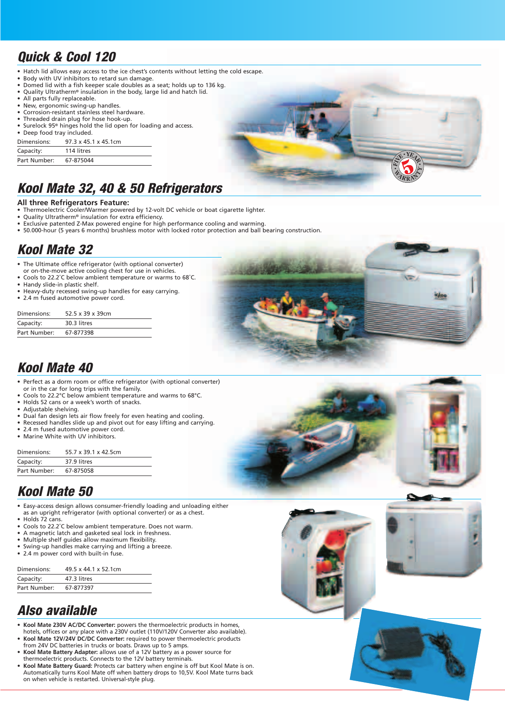# *Quick & Cool 120*

- Hatch lid allows easy access to the ice chest's contents without letting the cold escape.
- Body with UV inhibitors to retard sun damage.
- Domed lid with a fish keeper scale doubles as a seat; holds up to 136 kg. • Quality Ultratherm® insulation in the body, large lid and hatch lid.
- All parts fully replaceable.
- New, ergonomic swing-up handles.
- Corrosion-resistant stainless steel hardware.
- Threaded drain plug for hose hook-up.
- Surelock 95<sup>®</sup> hinges hold the lid open for loading and access.

#### • Deep food tray included. Dimensions: 97.3 x 45.1 x 45.1cm

| Capacity:    | 114 litres |  |
|--------------|------------|--|
| Part Number: | 67-875044  |  |



# *Kool Mate 32, 40 & 50 Refrigerators*

#### **All three Refrigerators Feature:**

- Thermoelectric Cooler/Warmer powered by 12-volt DC vehicle or boat cigarette lighter.
- Quality Ultratherm® insulation for extra efficiency.
- Exclusive patented Z-Max powered engine for high performance cooling and warming.
- 50.000-hour (5 years 6 months) brushless motor with locked rotor protection and ball bearing construction.

# *Kool Mate 32*

- The Ultimate office refrigerator (with optional converter)
- or on-the-move active cooling chest for use in vehicles. • Cools to 22.2˚C below ambient temperature or warms to 68˚C.
- Handy slide-in plastic shelf.
- Heavy-duty recessed swing-up handles for easy carrying.
- 2.4 m fused automotive power cord.

| Dimensions:  | 52.5 x 39 x 39cm |
|--------------|------------------|
| Capacity:    | 30.3 litres      |
| Part Number: | 67-877398        |



# *Kool Mate 40*

- Perfect as a dorm room or office refrigerator (with optional converter) or in the car for long trips with the family.
- Cools to 22.2°C below ambient temperature and warms to 68°C. • Holds 52 cans or a week's worth of snacks.
- 
- Adjustable shelving.<br>• Dual fan design lets.
- Dual fan design lets air flow freely for even heating and cooling.
- Recessed handles slide up and pivot out for easy lifting and carrying.
- 2.4 m fused automotive power cord. • Marine White with UV inhibitors.

| 55.7 x 39.1 x 42.5cm |
|----------------------|
| 37.9 litres          |
| 67-875058            |
|                      |

# *Kool Mate 50*

- Easy-access design allows consumer-friendly loading and unloading either as an upright refrigerator (with optional converter) or as a chest.
- Holds 72 cans.
- Cools to 22.2˚C below ambient temperature. Does not warm.
- A magnetic latch and gasketed seal lock in freshness.
- Multiple shelf guides allow maximum flexibility.
- Swing-up handles make carrying and lifting a breeze.<br>• 2.4 m nower cord with built-in fuse.
- 2.4 m power cord with built-in fuse.

| Dimensions:  | 49.5 x 44.1 x 52.1cm |
|--------------|----------------------|
| Capacity:    | 47.3 litres          |
| Part Number: | 67-877397            |

# *Also available*

- **Kool Mate 230V AC/DC Converter:** powers the thermoelectric products in homes, hotels, offices or any place with a 230V outlet (110V/120V Converter also available).
- **Kool Mate 12V/24V DC/DC Converter:** required to power thermoelectric products from 24V DC batteries in trucks or boats. Draws up to 5 amps.
- **Kool Mate Battery Adapter:** allows use of a 12V battery as a power source for thermoelectric products. Connects to the 12V battery terminals.
- **Kool Mate Battery Guard:** Protects car battery when engine is off but Kool Mate is on. Automatically turns Kool Mate off when battery drops to 10,5V. Kool Mate turns back on when vehicle is restarted. Universal-style plug.







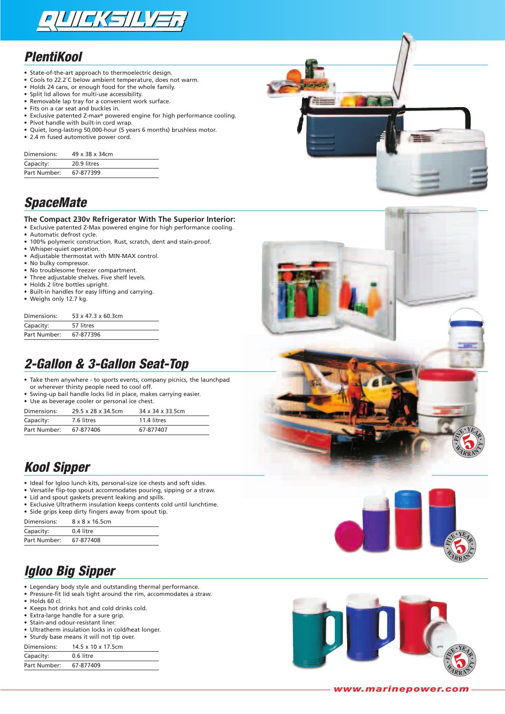

### *PlentiKool*

- State-of-the-art approach to thermoelectric design.<br>• Cools to 22.2°C below ambient temperature, does r
- Cools to 22.2°C below ambient temperature, does not warm.<br>• Holds 24 cans, or enough food for the whole family
- Holds 24 cans, or enough food for the whole family.
- Split lid allows for multi-use accessibility.
- Removable lap tray for a convenient work surface.
- Fits on a car seat and buckles in.<br>• Exclusive patented Z-max<sup>®</sup> power • Exclusive patented Z-max® powered engine for high performance cooling.<br>• Pivot handle with built-in cord wran
- Pivot handle with built-in cord wrap.
- Quiet, long-lasting 50,000-hour (5 years 6 months) brushless motor.
- 2.4 m fused automotive power cord.

| Dimensions:  | 49 x 38 x 34cm |
|--------------|----------------|
| Capacity:    | 20.9 litres    |
| Part Number: | 67-877399      |

# *SpaceMate*

#### **The Compact 230v Refrigerator With The Superior Interior:**

- Exclusive patented Z-Max powered engine for high performance cooling.<br>• Automatic defrost cycle
- Automatic defrost cycle.
- 100% polymeric construction. Rust, scratch, dent and stain-proof.
- Whisper-quiet operation.
- Adjustable thermostat with MIN-MAX control.<br>• No bulky compressor
- No bulky compressor.
- No troublesome freezer compartment.<br>• Three adjustable shelves. Five shelf leve
- Three adjustable shelves. Five shelf levels.
- Holds 2 litre bottles upright.
- Built-in handles for easy lifting and carrying.
- Weighs only 12.7 kg.

| 53 x 47.3 x 60.3cm |
|--------------------|
| 57 litres          |
| 67-877396          |
|                    |

## *2-Gallon & 3-Gallon Seat-Top*

- Take them anywhere to sports events, company picnics, the launchpad or wherever thirsty people need to cool off.
- Swing-up bail handle locks lid in place, makes carrying easier.
- Use as beverage cooler or personal ice chest.

| Dimensions:  | 29.5 x 28 x 34.5cm | 34 x 34 x 33.5cm |
|--------------|--------------------|------------------|
| Capacity:    | 7.6 litres         | 11.4 litres      |
| Part Number: | 67-877406          | 67-877407        |

## *Kool Sipper*

- Ideal for Igloo lunch kits, personal-size ice chests and soft sides.<br>• Versatile flip-top spout accommodates pouring, sipping or a stri
- Versatile flip-top spout accommodates pouring, sipping or a straw.<br>• Lid and spout gaskets prevent leaking and spills.
- Lid and spout gaskets prevent leaking and spills.
- Exclusive Ultratherm insulation keeps contents cold until lunchtime. • Side grips keep dirty fingers away from spout tip.

| Dimensions:  | 8 x 8 x 16.5cm |
|--------------|----------------|
| Capacity:    | 0.4 litre      |
| Part Number: | 67-877408      |

## *Igloo Big Sipper*

- Legendary body style and outstanding thermal performance.
- Pressure-fit lid seals tight around the rim, accommodates a straw.
- Holds 60 cl.
- Keeps hot drinks hot and cold drinks cold.
- Extra-large handle for a sure grip.
- Stain-and odour-resistant liner.
- Ultratherm insulation locks in cold/heat longer.

• Sturdy base means it will not tip over. Dimensions: 14.5 x 10 x 17.5cm

| ------------- | . . <i>. .</i> |
|---------------|----------------|
| Capacity:     | 0.6 litre      |
| Part Number:  | 67-877409      |





**F<sup>I</sup>V<sup>E</sup> <sup>Y</sup>EA<sup>R</sup>**

**•**

**• •**

 $4R$  $R$   $\mathbb{A}^{\geq 0}$